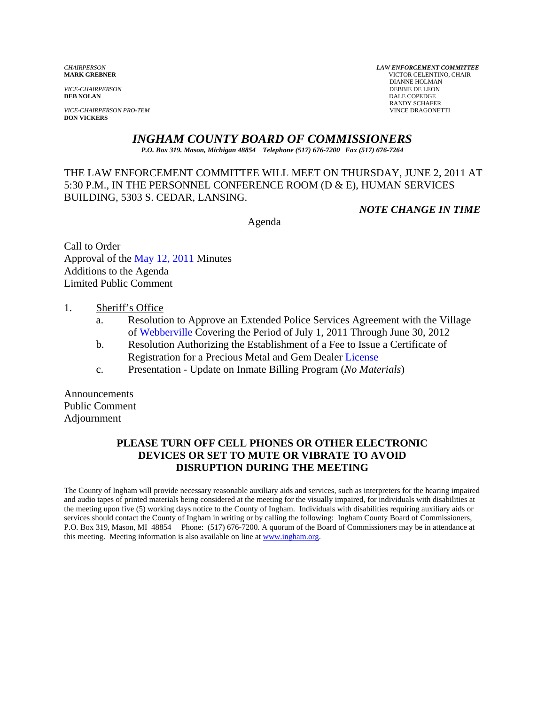*VICE-CHAIRPERSON*<br>**DEB NOLAN** 

*VICE-CHAIRPERSON PRO-TEM* VINCE DRAGONETTI **DON VICKERS** 

*CHAIRPERSON LAW ENFORCEMENT COMMITTEE* **MARK GREBNER** VICTOR CELENTINO, CHAIR **DIANNE HOLMAN<br>DEBBIE DE LEON DALE COPEDGE** RANDY SCHAFER

# *INGHAM COUNTY BOARD OF COMMISSIONERS*

*P.O. Box 319. Mason, Michigan 48854 Telephone (517) 676-7200 Fax (517) 676-7264*

THE LAW ENFORCEMENT COMMITTEE WILL MEET ON THURSDAY, JUNE 2, 2011 AT 5:30 P.M., IN THE PERSONNEL CONFERENCE ROOM (D & E), HUMAN SERVICES BUILDING, 5303 S. CEDAR, LANSING.

*NOTE CHANGE IN TIME* 

Agenda

Call to Order Approval of [the May 12, 2011 Minutes](#page-1-0)  Additions to the Agenda Limited Public Comment

## 1. Sheriff's Office

- a. Resolution to Approve an Extended Police Services Agreement with the Village [of Webberville Covering](#page-4-0) the Period of July 1, 2011 Through June 30, 2012
- b. Resolution Authorizing the Establishment of a [Fee to Issue a Certificate o](#page-6-0)f Registration for a Precious Metal and Gem Dealer License
- c. Presentation Update on Inmate Billing Program (*No Materials*)

Announcements Public Comment Adjournment

# **PLEASE TURN OFF CELL PHONES OR OTHER ELECTRONIC DEVICES OR SET TO MUTE OR VIBRATE TO AVOID DISRUPTION DURING THE MEETING**

The County of Ingham will provide necessary reasonable auxiliary aids and services, such as interpreters for the hearing impaired and audio tapes of printed materials being considered at the meeting for the visually impaired, for individuals with disabilities at the meeting upon five (5) working days notice to the County of Ingham. Individuals with disabilities requiring auxiliary aids or services should contact the County of Ingham in writing or by calling the following: Ingham County Board of Commissioners, P.O. Box 319, Mason, MI 48854 Phone: (517) 676-7200. A quorum of the Board of Commissioners may be in attendance at this meeting. Meeting information is also available on line at www.ingham.org.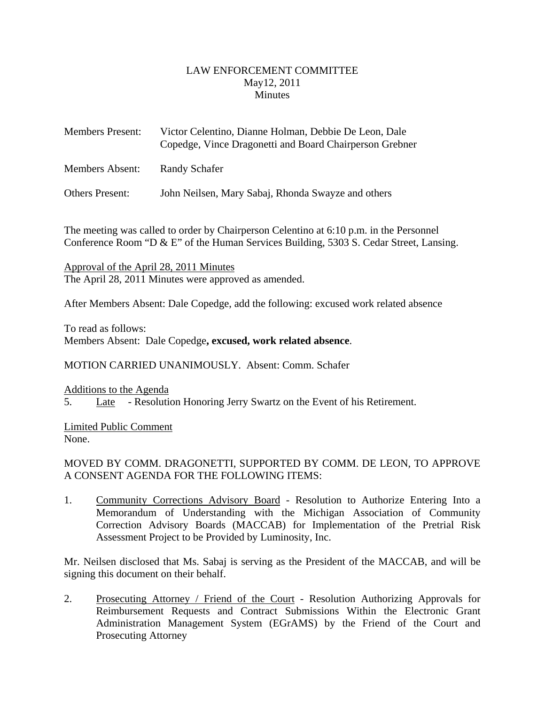## LAW ENFORCEMENT COMMITTEE May12, 2011 **Minutes**

<span id="page-1-0"></span>

| <b>Members Present:</b> | Victor Celentino, Dianne Holman, Debbie De Leon, Dale<br>Copedge, Vince Dragonetti and Board Chairperson Grebner |
|-------------------------|------------------------------------------------------------------------------------------------------------------|
| Members Absent:         | Randy Schafer                                                                                                    |
| <b>Others Present:</b>  | John Neilsen, Mary Sabaj, Rhonda Swayze and others                                                               |

The meeting was called to order by Chairperson Celentino at 6:10 p.m. in the Personnel Conference Room "D & E" of the Human Services Building, 5303 S. Cedar Street, Lansing.

Approval of the April 28, 2011 Minutes The April 28, 2011 Minutes were approved as amended.

After Members Absent: Dale Copedge, add the following: excused work related absence

To read as follows:

Members Absent: Dale Copedge**, excused, work related absence**.

MOTION CARRIED UNANIMOUSLY. Absent: Comm. Schafer

Additions to the Agenda

5. Late - Resolution Honoring Jerry Swartz on the Event of his Retirement.

Limited Public Comment None.

# MOVED BY COMM. DRAGONETTI, SUPPORTED BY COMM. DE LEON, TO APPROVE A CONSENT AGENDA FOR THE FOLLOWING ITEMS:

1. Community Corrections Advisory Board - Resolution to Authorize Entering Into a Memorandum of Understanding with the Michigan Association of Community Correction Advisory Boards (MACCAB) for Implementation of the Pretrial Risk Assessment Project to be Provided by Luminosity, Inc.

Mr. Neilsen disclosed that Ms. Sabaj is serving as the President of the MACCAB, and will be signing this document on their behalf.

2. Prosecuting Attorney / Friend of the Court - Resolution Authorizing Approvals for Reimbursement Requests and Contract Submissions Within the Electronic Grant Administration Management System (EGrAMS) by the Friend of the Court and Prosecuting Attorney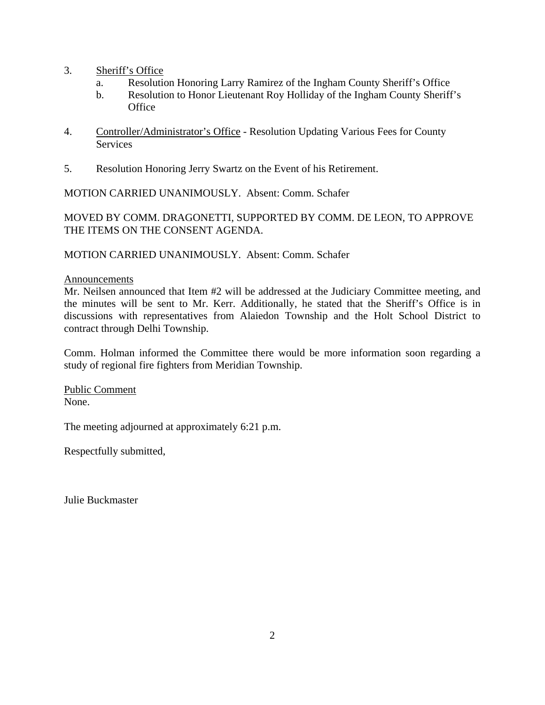- 3. Sheriff's Office
	- a. Resolution Honoring Larry Ramirez of the Ingham County Sheriff's Office
	- b. Resolution to Honor Lieutenant Roy Holliday of the Ingham County Sheriff's **Office**
- 4. Controller/Administrator's Office Resolution Updating Various Fees for County **Services**
- 5. Resolution Honoring Jerry Swartz on the Event of his Retirement.

MOTION CARRIED UNANIMOUSLY. Absent: Comm. Schafer

MOVED BY COMM. DRAGONETTI, SUPPORTED BY COMM. DE LEON, TO APPROVE THE ITEMS ON THE CONSENT AGENDA.

MOTION CARRIED UNANIMOUSLY. Absent: Comm. Schafer

## Announcements

Mr. Neilsen announced that Item #2 will be addressed at the Judiciary Committee meeting, and the minutes will be sent to Mr. Kerr. Additionally, he stated that the Sheriff's Office is in discussions with representatives from Alaiedon Township and the Holt School District to contract through Delhi Township.

Comm. Holman informed the Committee there would be more information soon regarding a study of regional fire fighters from Meridian Township.

Public Comment None.

The meeting adjourned at approximately 6:21 p.m.

Respectfully submitted,

Julie Buckmaster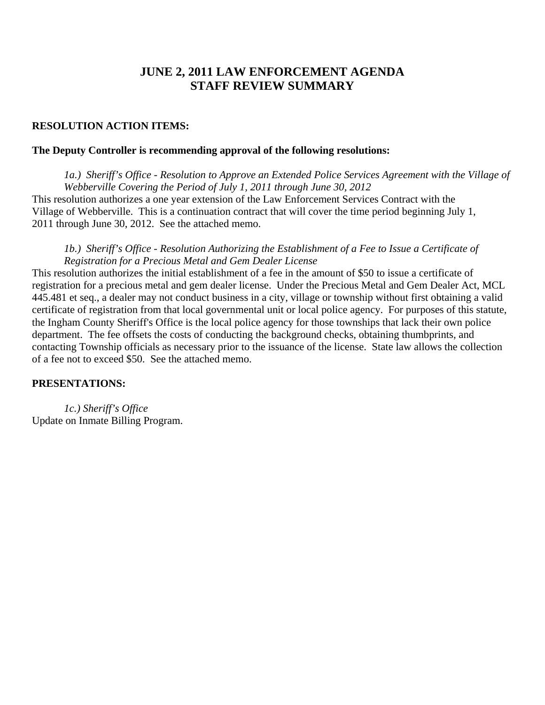# **JUNE 2, 2011 LAW ENFORCEMENT AGENDA STAFF REVIEW SUMMARY**

#### **RESOLUTION ACTION ITEMS:**

#### **The Deputy Controller is recommending approval of the following resolutions:**

*1a.) Sheriff's Office - Resolution to Approve an Extended Police Services Agreement with the Village of Webberville Covering the Period of July 1, 2011 through June 30, 2012*  This resolution authorizes a one year extension of the Law Enforcement Services Contract with the Village of Webberville. This is a continuation contract that will cover the time period beginning July 1, 2011 through June 30, 2012. See the attached memo.

## *1b.) Sheriff's Office - Resolution Authorizing the Establishment of a Fee to Issue a Certificate of Registration for a Precious Metal and Gem Dealer License*

This resolution authorizes the initial establishment of a fee in the amount of \$50 to issue a certificate of registration for a precious metal and gem dealer license. Under the Precious Metal and Gem Dealer Act, MCL 445.481 et seq., a dealer may not conduct business in a city, village or township without first obtaining a valid certificate of registration from that local governmental unit or local police agency. For purposes of this statute, the Ingham County Sheriff's Office is the local police agency for those townships that lack their own police department. The fee offsets the costs of conducting the background checks, obtaining thumbprints, and contacting Township officials as necessary prior to the issuance of the license. State law allows the collection of a fee not to exceed \$50. See the attached memo.

#### **PRESENTATIONS:**

*1c.) Sheriff's Office*  Update on Inmate Billing Program.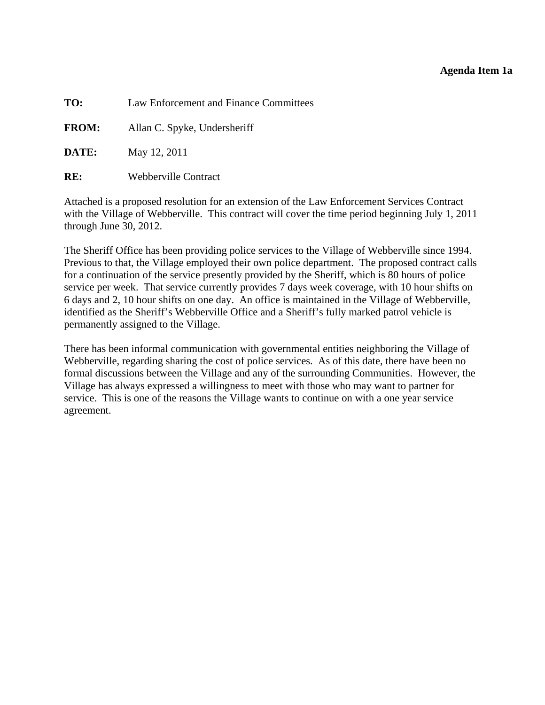## **Agenda Item 1a**

<span id="page-4-0"></span>**TO:** Law Enforcement and Finance Committees

**FROM:** Allan C. Spyke, Undersheriff

**DATE:** May 12, 2011

**RE:** Webberville Contract

Attached is a proposed resolution for an extension of the Law Enforcement Services Contract with the Village of Webberville. This contract will cover the time period beginning July 1, 2011 through June 30, 2012.

The Sheriff Office has been providing police services to the Village of Webberville since 1994. Previous to that, the Village employed their own police department. The proposed contract calls for a continuation of the service presently provided by the Sheriff, which is 80 hours of police service per week. That service currently provides 7 days week coverage, with 10 hour shifts on 6 days and 2, 10 hour shifts on one day. An office is maintained in the Village of Webberville, identified as the Sheriff's Webberville Office and a Sheriff's fully marked patrol vehicle is permanently assigned to the Village.

There has been informal communication with governmental entities neighboring the Village of Webberville, regarding sharing the cost of police services. As of this date, there have been no formal discussions between the Village and any of the surrounding Communities. However, the Village has always expressed a willingness to meet with those who may want to partner for service. This is one of the reasons the Village wants to continue on with a one year service agreement.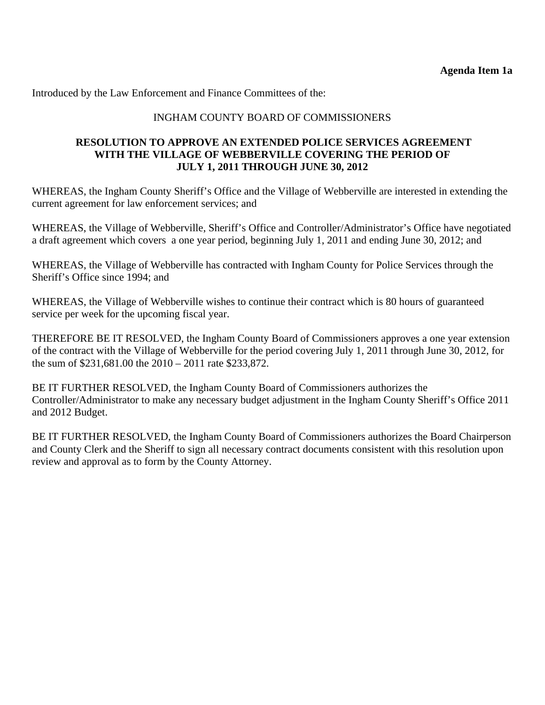Introduced by the Law Enforcement and Finance Committees of the:

# INGHAM COUNTY BOARD OF COMMISSIONERS

## **RESOLUTION TO APPROVE AN EXTENDED POLICE SERVICES AGREEMENT WITH THE VILLAGE OF WEBBERVILLE COVERING THE PERIOD OF JULY 1, 2011 THROUGH JUNE 30, 2012**

WHEREAS, the Ingham County Sheriff's Office and the Village of Webberville are interested in extending the current agreement for law enforcement services; and

WHEREAS, the Village of Webberville, Sheriff's Office and Controller/Administrator's Office have negotiated a draft agreement which covers a one year period, beginning July 1, 2011 and ending June 30, 2012; and

WHEREAS, the Village of Webberville has contracted with Ingham County for Police Services through the Sheriff's Office since 1994; and

WHEREAS, the Village of Webberville wishes to continue their contract which is 80 hours of guaranteed service per week for the upcoming fiscal year.

THEREFORE BE IT RESOLVED, the Ingham County Board of Commissioners approves a one year extension of the contract with the Village of Webberville for the period covering July 1, 2011 through June 30, 2012, for the sum of \$231,681.00 the 2010 – 2011 rate \$233,872.

BE IT FURTHER RESOLVED, the Ingham County Board of Commissioners authorizes the Controller/Administrator to make any necessary budget adjustment in the Ingham County Sheriff's Office 2011 and 2012 Budget.

BE IT FURTHER RESOLVED, the Ingham County Board of Commissioners authorizes the Board Chairperson and County Clerk and the Sheriff to sign all necessary contract documents consistent with this resolution upon review and approval as to form by the County Attorney.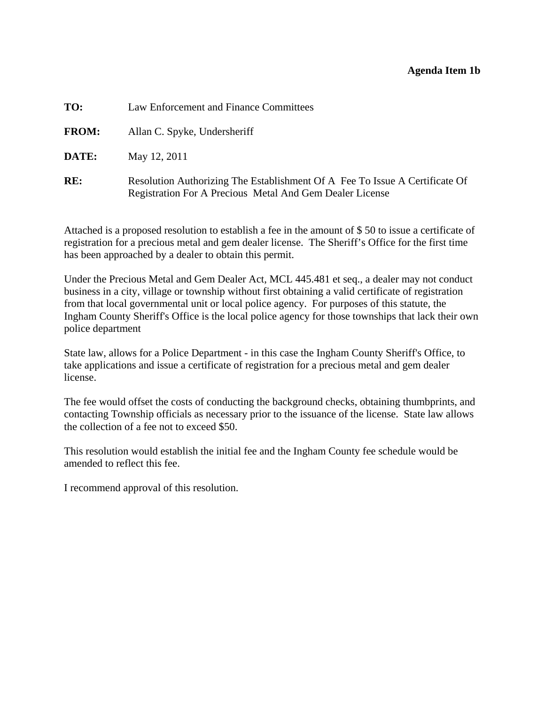## **Agenda Item 1b**

<span id="page-6-0"></span>

| TO:          | Law Enforcement and Finance Committees                                                                                                         |
|--------------|------------------------------------------------------------------------------------------------------------------------------------------------|
| <b>FROM:</b> | Allan C. Spyke, Undersheriff                                                                                                                   |
| DATE:        | May 12, 2011                                                                                                                                   |
| RE:          | Resolution Authorizing The Establishment Of A Fee To Issue A Certificate Of<br><b>Registration For A Precious Metal And Gem Dealer License</b> |

Attached is a proposed resolution to establish a fee in the amount of \$ 50 to issue a certificate of registration for a precious metal and gem dealer license. The Sheriff's Office for the first time has been approached by a dealer to obtain this permit.

Under the Precious Metal and Gem Dealer Act, MCL 445.481 et seq., a dealer may not conduct business in a city, village or township without first obtaining a valid certificate of registration from that local governmental unit or local police agency. For purposes of this statute, the Ingham County Sheriff's Office is the local police agency for those townships that lack their own police department

State law, allows for a Police Department - in this case the Ingham County Sheriff's Office, to take applications and issue a certificate of registration for a precious metal and gem dealer license.

The fee would offset the costs of conducting the background checks, obtaining thumbprints, and contacting Township officials as necessary prior to the issuance of the license. State law allows the collection of a fee not to exceed \$50.

This resolution would establish the initial fee and the Ingham County fee schedule would be amended to reflect this fee.

I recommend approval of this resolution.